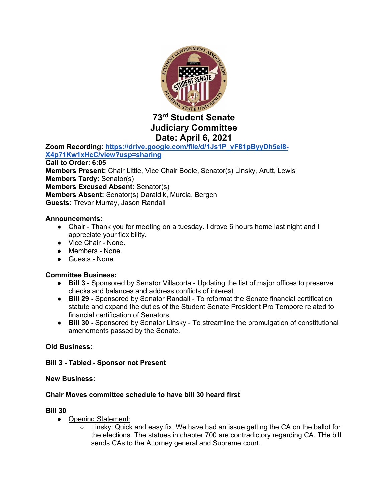

## **Judiciary Committee Date: April 6, 2021**

**Zoom Recording: https://drive.google.com/file/d/1Js1P\_vF81pByyDh5eI8- X4p71Kw1xHcC/view?usp=sharing Call to Order: 6:05 Members Present:** Chair Little, Vice Chair Boole, Senator(s) Linsky, Arutt, Lewis **Members Tardy:** Senator(s) **Members Excused Absent:** Senator(s) **Members Absent:** Senator(s) Daraldik, Murcia, Bergen **Guests:** Trevor Murray, Jason Randall

#### **Announcements:**

- Chair Thank you for meeting on a tuesday. I drove 6 hours home last night and I appreciate your flexibility.
- Vice Chair None.
- Members None.
- Guests None.

#### **Committee Business:**

- **Bill 3** Sponsored by Senator Villacorta Updating the list of major offices to preserve checks and balances and address conflicts of interest
- **Bill 29 -** Sponsored by Senator Randall To reformat the Senate financial certification statute and expand the duties of the Student Senate President Pro Tempore related to financial certification of Senators.
- **Bill 30 -** Sponsored by Senator Linsky To streamline the promulgation of constitutional amendments passed by the Senate.

#### **Old Business:**

#### **Bill 3 - Tabled - Sponsor not Present**

#### **New Business:**

### **Chair Moves committee schedule to have bill 30 heard first**

#### **Bill 30**

- Opening Statement:
	- $\circ$  Linsky: Quick and easy fix. We have had an issue getting the CA on the ballot for the elections. The statues in chapter 700 are contradictory regarding CA. THe bill sends CAs to the Attorney general and Supreme court.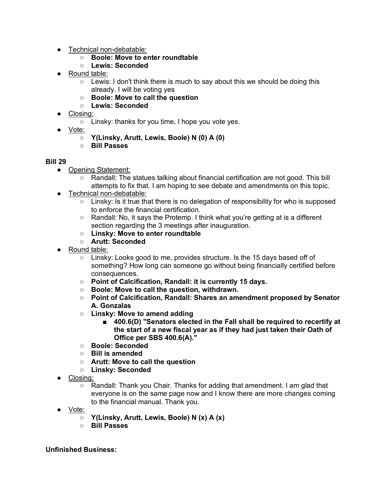- Technical non-debatable:
	- **Boole: Move to enter roundtable**
	- **Lewis: Seconded**
- Round table:
	- $\circ$  Lewis: I don't think there is much to say about this we should be doing this already. I will be voting yes
	- **Boole: Move to call the question**
	- **Lewis: Seconded**
- Closing:
	- Linsky: thanks for you time, I hope you vote yes.
- Vo<u>te:</u>
	- **Y(Linsky, Arutt, Lewis, Boole) N (0) A (0)**
	- **Bill Passes**

#### **Bill 29**

- Opening Statement:
	- Randall: The statues talking about financial certification are not good. This bill attempts to fix that. I am hoping to see debate and amendments on this topic.
- Technical non-debatable:
	- Linsky: Is it true that there is no delegation of responsibility for who is supposed to enforce the financial certification.
	- Randall: No, it says the Protemp. I think what you're getting at is a different section regarding the 3 meetings after inauguration.
	- **Linsky: Move to enter roundtable**
	- **Arutt: Seconded**
- Round table:
	- Linsky: Looks good to me, provides structure. Is the 15 days based off of something? How long can someone go without being financially certified before consequences.
	- **Point of Calcification, Randall: it is currently 15 days.**
	- **Boole: Move to call the question, withdrawn.**
	- **Point of Calcification, Randall: Shares an amendment proposed by Senator A. Gonzalas**
	- **Linsky: Move to amend adding**
		- 400.6(D) "Senators elected in the Fall shall be required to recertify at **the start of a new fiscal year as if they had just taken their Oath of Office per SBS 400.6(A)."**
	- **Boole: Seconded**
	- **Bill is amended**
	- **Arutt: Move to call the question**
	- **Linsky: Seconded**
- Closing:
	- Randall: Thank you Chair. Thanks for adding that amendment. I am glad that everyone is on the same page now and I know there are more changes coming to the financial manual. Thank you.
- Vote:
	- **Y(Linsky, Arutt, Lewis, Boole) N (x) A (x)**
	- **Bill Passes**

#### **Unfinished Business:**